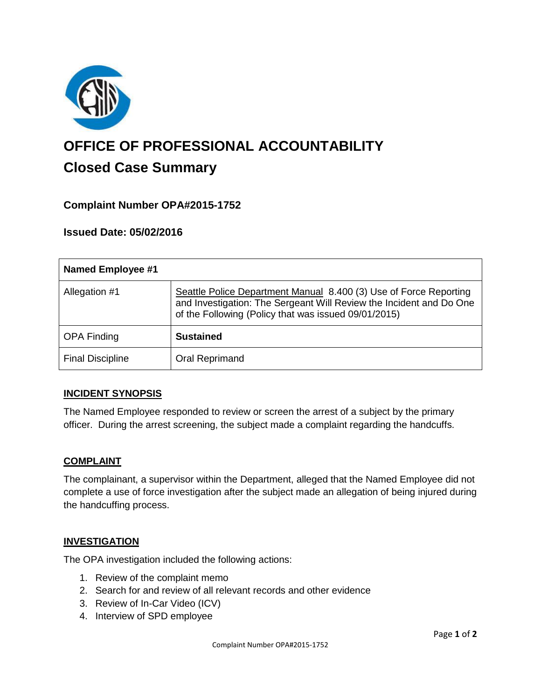

# **OFFICE OF PROFESSIONAL ACCOUNTABILITY Closed Case Summary**

## **Complaint Number OPA#2015-1752**

#### **Issued Date: 05/02/2016**

| <b>Named Employee #1</b> |                                                                                                                                                                                                  |
|--------------------------|--------------------------------------------------------------------------------------------------------------------------------------------------------------------------------------------------|
| Allegation #1            | Seattle Police Department Manual 8.400 (3) Use of Force Reporting<br>and Investigation: The Sergeant Will Review the Incident and Do One<br>of the Following (Policy that was issued 09/01/2015) |
| <b>OPA Finding</b>       | <b>Sustained</b>                                                                                                                                                                                 |
| <b>Final Discipline</b>  | Oral Reprimand                                                                                                                                                                                   |

#### **INCIDENT SYNOPSIS**

The Named Employee responded to review or screen the arrest of a subject by the primary officer. During the arrest screening, the subject made a complaint regarding the handcuffs.

#### **COMPLAINT**

The complainant, a supervisor within the Department, alleged that the Named Employee did not complete a use of force investigation after the subject made an allegation of being injured during the handcuffing process.

#### **INVESTIGATION**

The OPA investigation included the following actions:

- 1. Review of the complaint memo
- 2. Search for and review of all relevant records and other evidence
- 3. Review of In-Car Video (ICV)
- 4. Interview of SPD employee